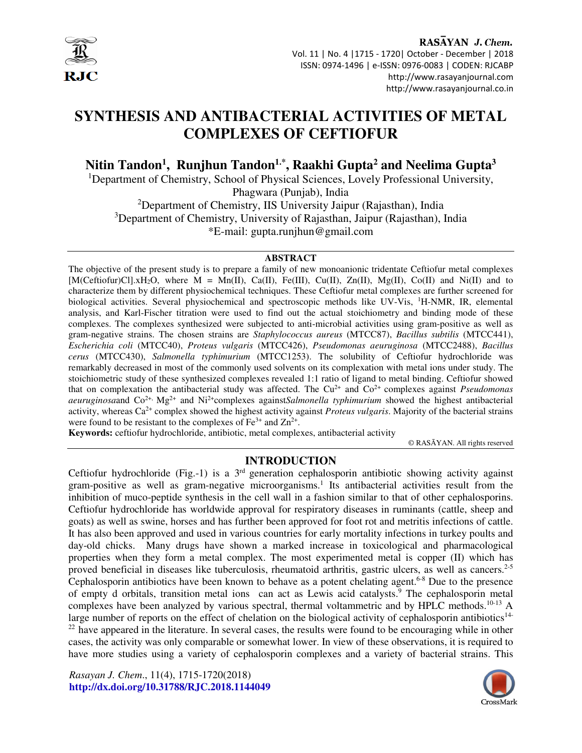

RASAYAN J. Chem. Vol. 11 | No. 4 |1715 - 1720| October - December | 2018 ISSN: 0974-1496 | e-ISSN: 0976-0083 | CODEN: RJCABP http://www.rasayanjournal.com http://www.rasayanjournal.co.in

# **SYNTHESIS AND ANTIBACTERIAL ACTIVITIES OF METAL COMPLEXES OF CEFTIOFUR**

**Nitin Tandon<sup>1</sup> , Runjhun Tandon1.\*, Raakhi Gupta<sup>2</sup> and Neelima Gupta<sup>3</sup>**

<sup>1</sup>Department of Chemistry, School of Physical Sciences, Lovely Professional University,

Phagwara (Punjab), India

<sup>2</sup>Department of Chemistry, IIS University Jaipur (Rajasthan), India <sup>3</sup>Department of Chemistry, University of Rajasthan, Jaipur (Rajasthan), India

\*E-mail: gupta.runjhun@gmail.com

#### **ABSTRACT**

The objective of the present study is to prepare a family of new monoanionic tridentate Ceftiofur metal complexes  $[M(Ceftiofur)Cl], xH_2O,$  where  $M = Mn(II), Ca(II), Fe(III), Cu(II), Zn(II), Mg(II), Co(II))$  and  $Ni(II)$  and to characterize them by different physiochemical techniques. These Ceftiofur metal complexes are further screened for biological activities. Several physiochemical and spectroscopic methods like UV-Vis, <sup>1</sup>H-NMR, IR, elemental analysis, and Karl-Fischer titration were used to find out the actual stoichiometry and binding mode of these complexes. The complexes synthesized were subjected to anti-microbial activities using gram-positive as well as gram-negative strains. The chosen strains are *Staphylococcus aureus* (MTCC87), *Bacillus subtilis* (MTCC441), *Escherichia coli* (MTCC40), *Proteus vulgaris* (MTCC426), *Pseudomonas aeuruginosa* (MTCC2488), *Bacillus cerus* (MTCC430), *Salmonella typhimurium* (MTCC1253). The solubility of Ceftiofur hydrochloride was remarkably decreased in most of the commonly used solvents on its complexation with metal ions under study. The stoichiometric study of these synthesized complexes revealed 1:1 ratio of ligand to metal binding. Ceftiofur showed that on complexation the antibacterial study was affected. The Cu2+ and Co2+ complexes against *Pseudomonas aeuruginosa* and  $Co^{2+}$ , Mg<sup>2+</sup> and Ni<sup>2+</sup>complexes against*Salmonella typhimurium* showed the highest antibacterial activity, whereas Ca2+ complex showed the highest activity against *Proteus vulgaris*. Majority of the bacterial strains were found to be resistant to the complexes of  $Fe^{3+}$  and  $Zn^{2+}$ .

**Keywords:** ceftiofur hydrochloride, antibiotic, metal complexes, antibacterial activity

© RASĀYAN. All rights reserved

# **INTRODUCTION**

Ceftiofur hydrochloride (Fig.-1) is a  $3<sup>rd</sup>$  generation cephalosporin antibiotic showing activity against gram-positive as well as gram-negative microorganisms.<sup>1</sup> Its antibacterial activities result from the inhibition of muco-peptide synthesis in the cell wall in a fashion similar to that of other cephalosporins. Ceftiofur hydrochloride has worldwide approval for respiratory diseases in ruminants (cattle, sheep and goats) as well as swine, horses and has further been approved for foot rot and metritis infections of cattle. It has also been approved and used in various countries for early mortality infections in turkey poults and day-old chicks. Many drugs have shown a marked increase in toxicological and pharmacological properties when they form a metal complex. The most experimented metal is copper (II) which has proved beneficial in diseases like tuberculosis, rheumatoid arthritis, gastric ulcers, as well as cancers.<sup>2-5</sup> Cephalosporin antibiotics have been known to behave as a potent chelating agent.<sup>6-8</sup> Due to the presence of empty d orbitals, transition metal ions can act as Lewis acid catalysts.<sup>9</sup> The cephalosporin metal complexes have been analyzed by various spectral, thermal voltammetric and by HPLC methods.<sup>10-13</sup> A large number of reports on the effect of chelation on the biological activity of cephalosporin antibiotics<sup>14-</sup> <sup>22</sup> have appeared in the literature. In several cases, the results were found to be encouraging while in other cases, the activity was only comparable or somewhat lower. In view of these observations, it is required to have more studies using a variety of cephalosporin complexes and a variety of bacterial strains. This

*Rasayan J. Chem*., 11(4), 1715-1720(2018) **http://dx.doi.org/10.31788/RJC.2018.1144049** 

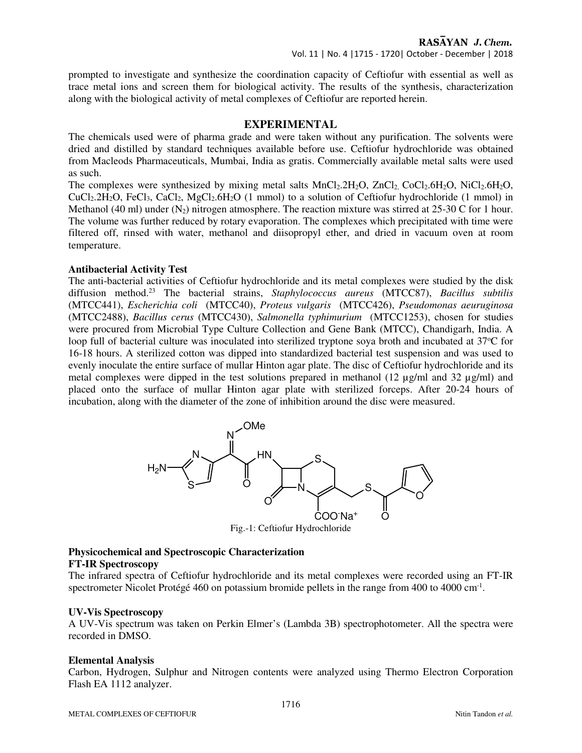prompted to investigate and synthesize the coordination capacity of Ceftiofur with essential as well as trace metal ions and screen them for biological activity. The results of the synthesis, characterization along with the biological activity of metal complexes of Ceftiofur are reported herein.

## **EXPERIMENTAL**

The chemicals used were of pharma grade and were taken without any purification. The solvents were dried and distilled by standard techniques available before use. Ceftiofur hydrochloride was obtained from Macleods Pharmaceuticals, Mumbai, India as gratis. Commercially available metal salts were used as such.

The complexes were synthesized by mixing metal salts  $MnCl<sub>2</sub>.2H<sub>2</sub>O$ ,  $ZnCl<sub>2</sub>$ ,  $CoCl<sub>2</sub>.6H<sub>2</sub>O$ ,  $NiCl<sub>2</sub>.6H<sub>2</sub>O$ ,  $CuCl<sub>2</sub>.2H<sub>2</sub>O$ , FeCl<sub>3</sub>, CaCl<sub>2</sub>, MgCl<sub>2</sub>.6H<sub>2</sub>O (1 mmol) to a solution of Ceftiofur hydrochloride (1 mmol) in Methanol (40 ml) under  $(N_2)$  nitrogen atmosphere. The reaction mixture was stirred at 25-30 C for 1 hour. The volume was further reduced by rotary evaporation. The complexes which precipitated with time were filtered off, rinsed with water, methanol and diisopropyl ether, and dried in vacuum oven at room temperature.

## **Antibacterial Activity Test**

The anti-bacterial activities of Ceftiofur hydrochloride and its metal complexes were studied by the disk diffusion method.<sup>23</sup> The bacterial strains, *Staphylococcus aureus* (MTCC87), *Bacillus subtilis*  (MTCC441), *Escherichia coli* (MTCC40), *Proteus vulgaris* (MTCC426), *Pseudomonas aeuruginosa*  (MTCC2488), *Bacillus cerus* (MTCC430), *Salmonella typhimurium* (MTCC1253), chosen for studies were procured from Microbial Type Culture Collection and Gene Bank (MTCC), Chandigarh, India. A loop full of bacterial culture was inoculated into sterilized tryptone soya broth and incubated at 37 °C for 16-18 hours. A sterilized cotton was dipped into standardized bacterial test suspension and was used to evenly inoculate the entire surface of mullar Hinton agar plate. The disc of Ceftiofur hydrochloride and its metal complexes were dipped in the test solutions prepared in methanol (12  $\mu$ g/ml and 32  $\mu$ g/ml) and placed onto the surface of mullar Hinton agar plate with sterilized forceps. After 20-24 hours of incubation, along with the diameter of the zone of inhibition around the disc were measured.



Fig.-1: Ceftiofur Hydrochloride

# **Physicochemical and Spectroscopic Characterization**

# **FT-IR Spectroscopy**

The infrared spectra of Ceftiofur hydrochloride and its metal complexes were recorded using an FT-IR spectrometer Nicolet Protégé 460 on potassium bromide pellets in the range from 400 to 4000 cm<sup>-1</sup>.

## **UV-Vis Spectroscopy**

A UV-Vis spectrum was taken on Perkin Elmer's (Lambda 3B) spectrophotometer. All the spectra were recorded in DMSO.

#### **Elemental Analysis**

Carbon, Hydrogen, Sulphur and Nitrogen contents were analyzed using Thermo Electron Corporation Flash EA 1112 analyzer.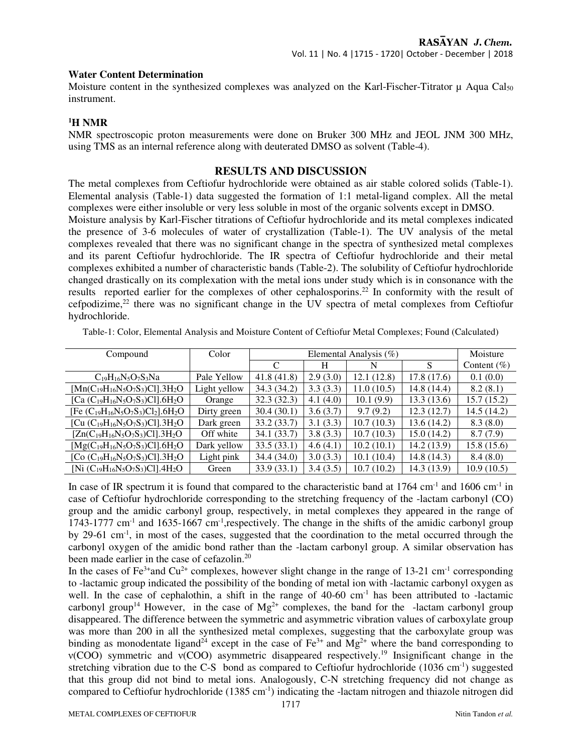#### **Water Content Determination**

Moisture content in the synthesized complexes was analyzed on the Karl-Fischer-Titrator  $\mu$  Aqua Cal<sub>50</sub> instrument.

### **<sup>1</sup>H NMR**

NMR spectroscopic proton measurements were done on Bruker 300 MHz and JEOL JNM 300 MHz, using TMS as an internal reference along with deuterated DMSO as solvent (Table-4).

## **RESULTS AND DISCUSSION**

The metal complexes from Ceftiofur hydrochloride were obtained as air stable colored solids (Table-1). Elemental analysis (Table-1) data suggested the formation of 1:1 metal-ligand complex. All the metal complexes were either insoluble or very less soluble in most of the organic solvents except in DMSO.

Moisture analysis by Karl-Fischer titrations of Ceftiofur hydrochloride and its metal complexes indicated the presence of 3-6 molecules of water of crystallization (Table-1). The UV analysis of the metal complexes revealed that there was no significant change in the spectra of synthesized metal complexes and its parent Ceftiofur hydrochloride. The IR spectra of Ceftiofur hydrochloride and their metal complexes exhibited a number of characteristic bands (Table-2). The solubility of Ceftiofur hydrochloride changed drastically on its complexation with the metal ions under study which is in consonance with the results reported earlier for the complexes of other cephalosporins.<sup>22</sup> In conformity with the result of cefpodizime, $2<sup>2</sup>$  there was no significant change in the UV spectra of metal complexes from Ceftiofur hydrochloride.

| Compound                                              | Color        |             | Moisture |             |             |                |
|-------------------------------------------------------|--------------|-------------|----------|-------------|-------------|----------------|
|                                                       |              | C           | H        | N           | S           | Content $(\%)$ |
| $C_{19}H_{16}N_5O_7S_3Na$                             | Pale Yellow  | 41.8(41.8)  | 2.9(3.0) | 12.1(12.8)  | 17.8(17.6)  | 0.1(0.0)       |
| $[Mn(C_{19}H_{16}N_5O_7S_3)Cl].3H_2O$                 | Light yellow | 34.3 (34.2) | 3.3(3.3) | 11.0(10.5)  | 14.8(14.4)  | 8.2(8.1)       |
| [Ca $(C_{19}H_{16}N_5O_7S_3)Cl$ ].6H <sub>2</sub> O   | Orange       | 32.3(32.3)  | 4.1(4.0) | 10.1(9.9)   | 13.3(13.6)  | 15.7 (15.2)    |
| [Fe $(C_{19}H_{16}N_5O_7S_3)Cl_2$ ].6H <sub>2</sub> O | Dirty green  | 30.4(30.1)  | 3.6(3.7) | 9.7(9.2)    | 12.3(12.7)  | 14.5 (14.2)    |
| [Cu $(C_{19}H_{16}N_5O_7S_3)$ Cl].3H <sub>2</sub> O   | Dark green   | 33.2 (33.7) | 3.1(3.3) | 10.7(10.3)  | 13.6(14.2)  | 8.3(8.0)       |
| $[Zn(C_{19}H_{16}N_5O_7S_3)Cl]$ .3H <sub>2</sub> O    | Off white    | 34.1 (33.7) | 3.8(3.3) | 10.7(10.3)  | 15.0(14.2)  | 8.7(7.9)       |
| $[Mg(C_{19}H_{16}N_5O_7S_3)Cl]$ .6H <sub>2</sub> O    | Dark yellow  | 33.5(33.1)  | 4.6(4.1) | 10.2(10.1)  | 14.2(13.9)  | 15.8(15.6)     |
| [Co $(C_{19}H_{16}N_5O_7S_3)Cl$ ].3H <sub>2</sub> O   | Light pink   | 34.4 (34.0) | 3.0(3.3) | 10.1(10.4)  | 14.8(14.3)  | 8.4(8.0)       |
| [Ni $(C_{19}H_{16}N_5O_7S_3)Cl$ ].4H <sub>2</sub> O   | Green        | 33.9(33.1)  | 3.4(3.5) | 10.7 (10.2) | 14.3 (13.9) | 10.9(10.5)     |

Table-1: Color, Elemental Analysis and Moisture Content of Ceftiofur Metal Complexes; Found (Calculated)

In case of IR spectrum it is found that compared to the characteristic band at 1764 cm<sup>-1</sup> and 1606 cm<sup>-1</sup> in case of Ceftiofur hydrochloride corresponding to the stretching frequency of the -lactam carbonyl (CO) group and the amidic carbonyl group, respectively, in metal complexes they appeared in the range of 1743-1777 cm<sup>-1</sup> and 1635-1667 cm<sup>-1</sup>,respectively. The change in the shifts of the amidic carbonyl group by 29-61 cm-1, in most of the cases, suggested that the coordination to the metal occurred through the carbonyl oxygen of the amidic bond rather than the -lactam carbonyl group. A similar observation has been made earlier in the case of cefazolin.<sup>20</sup>

In the cases of  $Fe^{3+}$ and Cu<sup>2+</sup> complexes, however slight change in the range of 13-21 cm<sup>-1</sup> corresponding to -lactamic group indicated the possibility of the bonding of metal ion with -lactamic carbonyl oxygen as well. In the case of cephalothin, a shift in the range of 40-60 cm<sup>-1</sup> has been attributed to -lactamic carbonyl group<sup>14</sup> However, in the case of  $Mg^{2+}$  complexes, the band for the -lactam carbonyl group disappeared. The difference between the symmetric and asymmetric vibration values of carboxylate group was more than 200 in all the synthesized metal complexes, suggesting that the carboxylate group was binding as monodentate ligand<sup>24</sup> except in the case of Fe<sup>3+</sup> and Mg<sup>2+</sup> where the band corresponding to ν(COO) symmetric and ν(COO) asymmetric disappeared respectively.<sup>19</sup> Insignificant change in the stretching vibration due to the C-S bond as compared to Ceftiofur hydrochloride (1036 cm<sup>-1</sup>) suggested that this group did not bind to metal ions. Analogously, C-N stretching frequency did not change as compared to Ceftiofur hydrochloride  $(1385 \text{ cm}^{-1})$  indicating the -lactam nitrogen and thiazole nitrogen did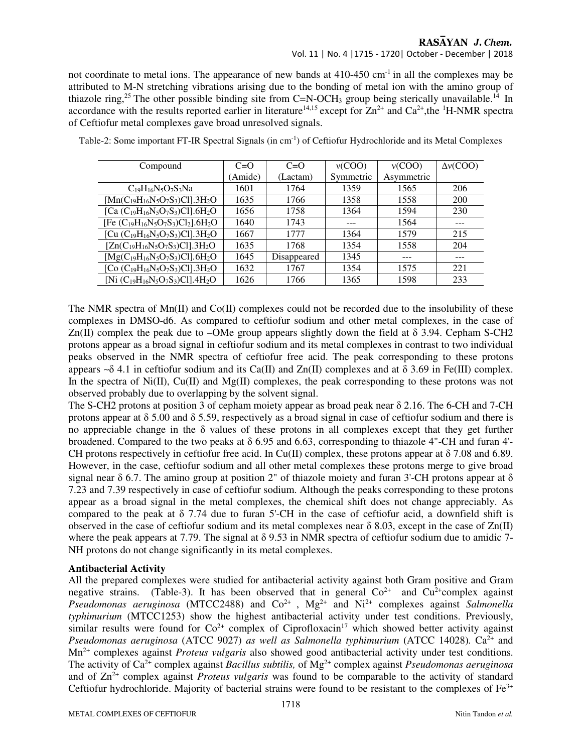# RASAYAN J. Chem.

Vol. 11 | No. 4 |1715 - 1720| October - December | 2018

not coordinate to metal ions. The appearance of new bands at  $410-450$  cm<sup>-1</sup> in all the complexes may be attributed to M-N stretching vibrations arising due to the bonding of metal ion with the amino group of thiazole ring,<sup>25</sup> The other possible binding site from C=N-OCH<sub>3</sub> group being sterically unavailable.<sup>14</sup> In accordance with the results reported earlier in literature<sup>14,15</sup> except for  $Zn^{2+}$  and  $Ca^{2+}$ ,the <sup>1</sup>H-NMR spectra of Ceftiofur metal complexes gave broad unresolved signals.

| Compound                                              | $C=O$   | $C=O$       | v(COO)    | v(COO)     | $\Delta v(COO)$ |  |
|-------------------------------------------------------|---------|-------------|-----------|------------|-----------------|--|
|                                                       | (Amide) | (Lactam)    | Symmetric | Asymmetric |                 |  |
| $C_{19}H_{16}N_5O_7S_3Na$                             | 1601    | 1764        | 1359      | 1565       | 206             |  |
| $[Mn(C_{19}H_{16}N_5O_7S_3)Cl]$ .3H <sub>2</sub> O    | 1635    | 1766        | 1358      | 1558       | 200             |  |
| [Ca $(C_{19}H_{16}N_5O_7S_3)Cl$ ].6H <sub>2</sub> O   | 1656    | 1758        | 1364      | 1594       | 230             |  |
| [Fe $(C_{19}H_{16}N_5O_7S_3)Cl_2$ ].6H <sub>2</sub> O | 1640    | 1743        | ---       | 1564       | ---             |  |
| [Cu $(C_{19}H_{16}N_5O_7S_3)Cl$ ].3H <sub>2</sub> O   | 1667    | 1777        | 1364      | 1579       | 215             |  |
| $[Zn(C_{19}H_{16}N_5O_7S_3)Cl]$ .3H <sub>2</sub> O    | 1635    | 1768        | 1354      | 1558       | 204             |  |
| $[Mg(C_{19}H_{16}N_5O_7S_3)Cl]$ .6H <sub>2</sub> O    | 1645    | Disappeared | 1345      | ---        | ---             |  |
| [Co $(C_{19}H_{16}N_5O_7S_3)Cl$ ].3H <sub>2</sub> O   | 1632    | 1767        | 1354      | 1575       | 221             |  |
| [Ni $(C_{19}H_{16}N_5O_7S_3)Cl$ ].4H <sub>2</sub> O   | 1626    | 1766        | 1365      | 1598       | 233             |  |

Table-2: Some important FT-IR Spectral Signals (in cm-1) of Ceftiofur Hydrochloride and its Metal Complexes

The NMR spectra of  $Mn(\Pi)$  and  $Co(\Pi)$  complexes could not be recorded due to the insolubility of these complexes in DMSO-d6. As compared to ceftiofur sodium and other metal complexes, in the case of Zn(II) complex the peak due to –OMe group appears slightly down the field at δ 3.94. Cepham S-CH2 protons appear as a broad signal in ceftiofur sodium and its metal complexes in contrast to two individual peaks observed in the NMR spectra of ceftiofur free acid. The peak corresponding to these protons appears  $\sim$ δ 4.1 in ceftiofur sodium and its Ca(II) and Zn(II) complexes and at δ 3.69 in Fe(III) complex. In the spectra of Ni(II), Cu(II) and Mg(II) complexes, the peak corresponding to these protons was not observed probably due to overlapping by the solvent signal.

The S-CH2 protons at position 3 of cepham moiety appear as broad peak near δ 2.16. The 6-CH and 7-CH protons appear at  $\delta$  5.00 and  $\delta$  5.59, respectively as a broad signal in case of ceftiofur sodium and there is no appreciable change in the δ values of these protons in all complexes except that they get further broadened. Compared to the two peaks at  $\delta$  6.95 and 6.63, corresponding to thiazole 4"-CH and furan 4'-CH protons respectively in ceftiofur free acid. In Cu(II) complex, these protons appear at  $\delta$  7.08 and 6.89. However, in the case, ceftiofur sodium and all other metal complexes these protons merge to give broad signal near  $\delta$  6.7. The amino group at position 2" of thiazole moiety and furan 3'-CH protons appear at  $\delta$ 7.23 and 7.39 respectively in case of ceftiofur sodium. Although the peaks corresponding to these protons appear as a broad signal in the metal complexes, the chemical shift does not change appreciably. As compared to the peak at  $\delta$  7.74 due to furan 5'-CH in the case of ceftiofur acid, a downfield shift is observed in the case of ceftiofur sodium and its metal complexes near  $\delta$  8.03, except in the case of  $\rm Zn(II)$ where the peak appears at 7.79. The signal at  $\delta$  9.53 in NMR spectra of ceftiofur sodium due to amidic 7-NH protons do not change significantly in its metal complexes.

## **Antibacterial Activity**

All the prepared complexes were studied for antibacterial activity against both Gram positive and Gram negative strains. (Table-3). It has been observed that in general  $Co^{2+}$  and  $Cu^{2+}$ complex against *Pseudomonas aeruginosa* (MTCC2488) and  $Co^{2+}$ ,  $Mg^{2+}$  and  $Ni^{2+}$  complexes against *Salmonella typhimurium* (MTCC1253) show the highest antibacterial activity under test conditions. Previously, similar results were found for  $Co^{2+}$  complex of Ciprofloxacin<sup>17</sup> which showed better activity against *Pseudomonas aeruginosa* (ATCC 9027) *as well as Salmonella typhimurium* (ATCC 14028). Ca<sup>2+</sup> and Mn2+ complexes against *Proteus vulgaris* also showed good antibacterial activity under test conditions. The activity of Ca2+ complex against *Bacillus subtilis,* of Mg2+ complex against *Pseudomonas aeruginosa*  and of  $\text{Zn}^2$ <sup>+</sup> complex against *Proteus vulgaris* was found to be comparable to the activity of standard Ceftiofur hydrochloride. Majority of bacterial strains were found to be resistant to the complexes of  $Fe<sup>3+</sup>$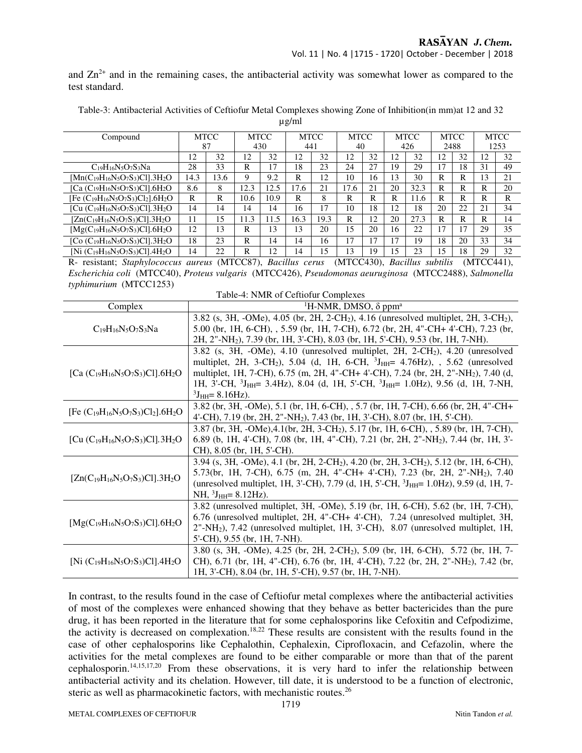## RASAYAN J. Chem.

and  $Zn^{2+}$  and in the remaining cases, the antibacterial activity was somewhat lower as compared to the test standard.

Table-3: Antibacterial Activities of Ceftiofur Metal Complexes showing Zone of Inhibition(in mm)at 12 and 32

| ۰. |
|----|
|----|

| Compound                                                                                                 |      | <b>MTCC</b> |                   | <b>MTCC</b>              |      | <b>MTCC</b> | <b>MTCC</b>               |    |        | <b>MTCC</b> |                         | <b>MTCC</b> |                           | <b>MTCC</b> |
|----------------------------------------------------------------------------------------------------------|------|-------------|-------------------|--------------------------|------|-------------|---------------------------|----|--------|-------------|-------------------------|-------------|---------------------------|-------------|
|                                                                                                          |      | 87          |                   | 430                      | 441  |             | 40                        |    |        | 426         | 2488                    |             |                           | 1253        |
|                                                                                                          | 12   | 32          | 12                | 32                       | 12   | 32          | $\overline{c}$            | 32 | 12     | 32          | 12                      | 32          | 2                         | 32          |
| $C_{19}H_{16}N_5O_7S_3Na$                                                                                | 28   | 33          | R                 | 17                       | 18   | 23          | 24                        | 27 | 19     | 29          | 17                      | 18          | 31                        | 49          |
| $[Mn(C_{19}H_{16}N_5O_7S_3)Cl]$ .3H <sub>2</sub> O                                                       | 14.3 | 13.6        | 9                 | 9.2                      | R    | 12          | 10                        | 16 | 13     | 30          | R                       | R           | 13                        | 21          |
| [Ca $(C_{19}H_{16}N_5O_7S_3)Cl$ ].6H <sub>2</sub> O                                                      | 8.6  | 8           | 12.3              | 12.5                     | 17.6 | 21          | 17.6                      | 21 | 20     | 32.3        | R                       | R           | R                         | 20          |
| [Fe $(C_{19}H_{16}N_5O_7S_3)Cl_2$ ].6H <sub>2</sub> O                                                    | R    | R           | 10.6              | 10.9                     | R    | 8           | R                         | R  | R      | 11.6        | R                       | R           | R                         | R           |
| [Cu (C <sub>19</sub> H <sub>16</sub> N <sub>5</sub> O <sub>7</sub> S <sub>3</sub> )Cl].3H <sub>2</sub> O | 14   | 14          | 14                | 14                       | 16   | 17          | 10                        | 18 | 12     | 18          | 20                      | 22          | 21                        | 34          |
| $[Zn(C_{19}H_{16}N_5O_7S_3)Cl]$ .3H <sub>2</sub> O                                                       | 11   | 15          | 11.3              | 11.5                     | 16.3 | 19.3        | R                         | 12 | 20     | 27.3        | R                       | R           | R                         | 14          |
| $[Mg(C_{19}H_{16}N_5O_7S_3)Cl]$ .6H <sub>2</sub> O                                                       | 12   | 13          | R                 | 13                       | 13   | 20          | .5                        | 20 | 16     | 22          | 17                      | 17          | 29                        | 35          |
| [Co $(C_{19}H_{16}N_5O_7S_3)Cl$ ].3H <sub>2</sub> O                                                      | 18   | 23          | R                 | 14                       | 14   | 16          | 17                        | 17 | 17     | 19          | 18                      | 20          | 33                        | 34          |
| [Ni $(C_{19}H_{16}N_5O_7S_3)Cl$ ].4H <sub>2</sub> O                                                      | 14   | 22          | R                 | 12                       | 14   | 15          | 13                        | 19 | 15     | 23          | 15                      | 18          | 29                        | 32          |
| .                                                                                                        |      |             | $\alpha$ concrete | $\overline{\phantom{a}}$ |      |             | $\alpha$ concern $\alpha$ |    | $\sim$ | .77         | $\cdot$ $\cdot$ $\cdot$ |             | $\alpha$ concern $\alpha$ |             |

R- resistant; *Staphylococcus aureus* (MTCC87), *Bacillus cerus* (MTCC430), *Bacillus subtilis* (MTCC441), *Escherichia coli* (MTCC40), *Proteus vulgaris* (MTCC426), *Pseudomonas aeuruginosa* (MTCC2488), *Salmonella typhimurium* (MTCC1253)

| Table-4: NMR of Ceftiofur Complexes                   |                                                                                                               |  |  |  |  |  |  |
|-------------------------------------------------------|---------------------------------------------------------------------------------------------------------------|--|--|--|--|--|--|
| Complex                                               | <sup>1</sup> H-NMR, DMSO, $\delta$ ppm <sup>a</sup>                                                           |  |  |  |  |  |  |
| $C_{19}H_{16}N_5O_7S_3Na$                             | 3.82 (s, 3H, -OMe), 4.05 (br, 2H, 2-CH <sub>2</sub> ), 4.16 (unresolved multiplet, 2H, 3-CH <sub>2</sub> ),   |  |  |  |  |  |  |
|                                                       | 5.00 (br, 1H, 6-CH), , 5.59 (br, 1H, 7-CH), 6.72 (br, 2H, 4"-CH+ 4'-CH), 7.23 (br,                            |  |  |  |  |  |  |
|                                                       | 2H, 2"-NH <sub>2</sub> ), 7.39 (br, 1H, 3'-CH), 8.03 (br, 1H, 5'-CH), 9.53 (br, 1H, 7-NH).                    |  |  |  |  |  |  |
|                                                       | $3.82$ (s, $3H$ , $-Me$ ), $4.10$ (unresolved multiplet, $2H$ , $2-CH2$ ), $4.20$ (unresolved                 |  |  |  |  |  |  |
|                                                       | multiplet, 2H, 3-CH <sub>2</sub> ), 5.04 (d, 1H, 6-CH, ${}^{3}$ J <sub>HH</sub> = 4.76Hz), 5.62 (unresolved   |  |  |  |  |  |  |
| [Ca $(C_{19}H_{16}N_5O_7S_3)Cl$ ].6H <sub>2</sub> O   | multiplet, 1H, 7-CH), 6.75 (m, 2H, 4"-CH+ 4'-CH), 7.24 (br, 2H, 2"-NH <sub>2</sub> ), 7.40 (d,                |  |  |  |  |  |  |
|                                                       | 1H, 3'-CH, ${}^{3}J_{HH}$ = 3.4Hz), 8.04 (d, 1H, 5'-CH, ${}^{3}J_{HH}$ = 1.0Hz), 9.56 (d, 1H, 7-NH,           |  |  |  |  |  |  |
|                                                       | ${}^{3}J_{HH} = 8.16 Hz$ ).                                                                                   |  |  |  |  |  |  |
| [Fe $(C_{19}H_{16}N_5O_7S_3)Cl_2$ ].6H <sub>2</sub> O | 3.82 (br, 3H, -OMe), 5.1 (br, 1H, 6-CH), , 5.7 (br, 1H, 7-CH), 6.66 (br, 2H, 4"-CH+                           |  |  |  |  |  |  |
|                                                       | 4'-CH), 7.19 (br, 2H, 2"-NH <sub>2</sub> ), 7.43 (br, 1H, 3'-CH), 8.07 (br, 1H, 5'-CH).                       |  |  |  |  |  |  |
| [Cu $(C_{19}H_{16}N_5O_7S_3)Cl$ ].3H <sub>2</sub> O   | 3.87 (br, 3H, -OMe), 4.1(br, 2H, 3-CH <sub>2</sub> ), 5.17 (br, 1H, 6-CH), , 5.89 (br, 1H, 7-CH),             |  |  |  |  |  |  |
|                                                       | 6.89 (b, 1H, 4'-CH), 7.08 (br, 1H, 4"-CH), 7.21 (br, 2H, 2"-NH <sub>2</sub> ), 7.44 (br, 1H, 3'-              |  |  |  |  |  |  |
|                                                       | CH), 8.05 (br, 1H, 5'-CH).                                                                                    |  |  |  |  |  |  |
|                                                       | 3.94 (s, 3H, -OMe), 4.1 (br, 2H, 2-CH <sub>2</sub> ), 4.20 (br, 2H, 3-CH <sub>2</sub> ), 5.12 (br, 1H, 6-CH), |  |  |  |  |  |  |
| $[Zn(C_{19}H_{16}N_5O_7S_3)Cl]$ .3H <sub>2</sub> O    | 5.73(br, 1H, 7-CH), 6.75 (m, 2H, 4"-CH+ 4'-CH), 7.23 (br, 2H, 2"-NH <sub>2</sub> ), 7.40                      |  |  |  |  |  |  |
|                                                       | (unresolved multiplet, 1H, 3'-CH), 7.79 (d, 1H, 5'-CH, <sup>3</sup> J <sub>HH</sub> = 1.0Hz), 9.59 (d, 1H, 7- |  |  |  |  |  |  |
|                                                       | $NH, 3JHH = 8.12 Hz$ ).                                                                                       |  |  |  |  |  |  |
| $[Mg(C_{19}H_{16}N_5O_7S_3)Cl]$ .6H <sub>2</sub> O    | 3.82 (unresolved multiplet, 3H, -OMe), 5.19 (br, 1H, 6-CH), 5.62 (br, 1H, 7-CH),                              |  |  |  |  |  |  |
|                                                       | 6.76 (unresolved multiplet, 2H, 4"-CH+ 4'-CH), 7.24 (unresolved multiplet, 3H,                                |  |  |  |  |  |  |
|                                                       | 2"-NH <sub>2</sub> ), 7.42 (unresolved multiplet, 1H, 3'-CH), 8.07 (unresolved multiplet, 1H,                 |  |  |  |  |  |  |
|                                                       | 5'-CH), 9.55 (br, 1H, 7-NH).                                                                                  |  |  |  |  |  |  |
| [Ni $(C_{19}H_{16}N_5O_7S_3)Cl$ ].4H <sub>2</sub> O   | 3.80 (s, 3H, -OMe), 4.25 (br, 2H, 2-CH <sub>2</sub> ), 5.09 (br, 1H, 6-CH), 5.72 (br, 1H, 7-                  |  |  |  |  |  |  |
|                                                       | CH), 6.71 (br, 1H, 4"-CH), 6.76 (br, 1H, 4'-CH), 7.22 (br, 2H, 2"-NH <sub>2</sub> ), 7.42 (br,                |  |  |  |  |  |  |
|                                                       | 1H, 3'-CH), 8.04 (br, 1H, 5'-CH), 9.57 (br, 1H, 7-NH).                                                        |  |  |  |  |  |  |

In contrast, to the results found in the case of Ceftiofur metal complexes where the antibacterial activities of most of the complexes were enhanced showing that they behave as better bactericides than the pure drug, it has been reported in the literature that for some cephalosporins like Cefoxitin and Cefpodizime, the activity is decreased on complexation.18,22 These results are consistent with the results found in the case of other cephalosporins like Cephalothin, Cephalexin, Ciprofloxacin, and Cefazolin, where the activities for the metal complexes are found to be either comparable or more than that of the parent cephalosporin.14,15,17,20 From these observations, it is very hard to infer the relationship between antibacterial activity and its chelation. However, till date, it is understood to be a function of electronic, steric as well as pharmacokinetic factors, with mechanistic routes.<sup>26</sup>